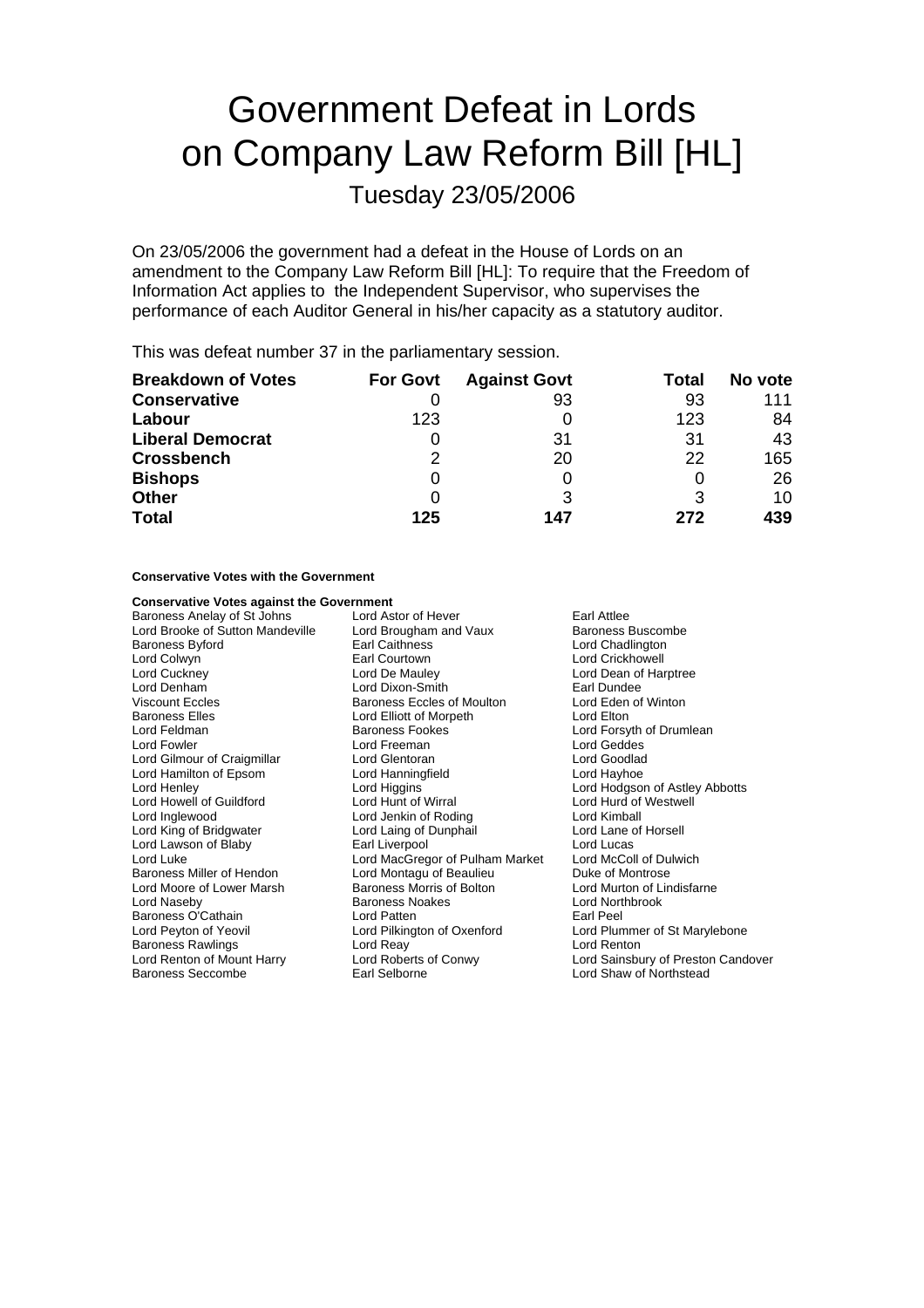# Government Defeat in Lords on Company Law Reform Bill [HL]

Tuesday 23/05/2006

On 23/05/2006 the government had a defeat in the House of Lords on an amendment to the Company Law Reform Bill [HL]: To require that the Freedom of Information Act applies to the Independent Supervisor, who supervises the performance of each Auditor General in his/her capacity as a statutory auditor.

This was defeat number 37 in the parliamentary session.

| <b>Breakdown of Votes</b> | <b>For Govt</b> | <b>Against Govt</b> | Total | No vote |
|---------------------------|-----------------|---------------------|-------|---------|
| <b>Conservative</b>       |                 | 93                  | 93    | 111     |
| Labour                    | 123             |                     | 123   | 84      |
| <b>Liberal Democrat</b>   |                 | 31                  | 31    | 43      |
| <b>Crossbench</b>         | 2               | 20                  | 22    | 165     |
| <b>Bishops</b>            | 0               |                     | O     | 26      |
| <b>Other</b>              | 0               |                     |       | 10      |
| <b>Total</b>              | 125             | 147                 | 272   | 439     |

### **Conservative Votes with the Government**

## **Conservative Votes against the Government**

Baroness Elles<br>
Lord Elliott of Morpeth<br>
Lord Elliott of Morpeth<br>
Baroness Fookes Lord Hamilton of Epsom Lord Hanningfield Baroness O'Cathain **Earl Lord Patten**<br>
Lord Peyton of Yeovil **Earl Pearl Lord Pilkington of Oxenford** Baroness Seccombe Earl Selborne Lord Shaw of Northstead

Baroness Anelay of St Johns Lord Astor of Hever Farl Attlee<br>
Lord Brooke of Sutton Mandeville Lord Brougham and Vaux Baroness I Lord Brooke of Sutton Mandeville Lord Brougham and Vaux Baroness Buscombe<br>Baroness Bvford Baroness Lord Chadlington Baroness Byford **Earl Caithness** Exercise Chadlington<br>
Earl Courtown<br>
Lord Colwyn<br>
Lord Crickhowell Earl Courtown **Earl Courtown** Lord Crickhowell<br>
Lord De Mauley **Lord Dean of Har** Lord Cuckney Lord De Mauley Lord Dean of Harptree Lord Denham **Lord Dixon-Smith** Earl Dundee<br>
Viscount Eccles **Collaboration** Baroness Eccles of Moulton Lord Eden of Winton Viscount Eccles **Baroness Eccles of Moulton** Lord Eden **Baroness Eccles of Moulton** Cord Electric Baroness Eccles of Morpeth Cord Electric Lord Feldman **n Baroness Fookes** Communications Cord Forsyth of Drumlean<br>
Reader Cord For Lord Forsyth Cord Freeman<br>
Lord For Lord Geddes Lord Freeman Lord Geddes<br>
Lord Glentoran Lord Goodlad Lord Gilmour of Craigmillar Lord Glentoran Lord Goodlad Lord Henley **Lord Holland Lord Holland Lord Holland Lord Holland Lord Holland Lord Holland Cord Horland Lord Horland Lord Horland Lord Hunt of Westwell Lord Hunt of Westwell Cord Hunt of Westwell Lord Hunt of Westwell Lord** Lord Howell of Guildford Lord Hunt of Wirral Lord Hund of Lord Hund of Lord Hund of Lord Hund of Lord Kimball Lord Jenkin of Roding Lord King of Bridgwater Lord Laing of Dunphail Lord Lane of Horsell Lord Lawson of Blaby **Carl Liverpool** Lord Lucas<br>
Lord Lucas
Lord Lucas
Lord Lucas
Lord Lucas
Lord Lucas
Lord Lucas
Lord Lucas
Lord Lucas
Lord Lucas
Lord Lucas
Lord Lucas
Lord Lucas
Lord Lucas
Lord Lucas
Lord Lucas
Lord Lu Lord Luke<br>
Lord Luke Lord MacGregor of Pulham Market Lord McColl of Du<br>
Raroness Miller of Hendon Lord Montagu of Beaulieu Duke of Montrose Lord Montagu of Beaulieu Lord Moore of Lower Marsh Baroness Morris of Bolton Lord Murton of Lindisfarne<br>
Lord Naseby Baroness Noakes Lord Northbrook **Baroness Noakes Lord Northbrook**<br> **Lord Patten**<br> **Larl Peel** Lord Peyton of Yeovil Lord Pilkington of Oxenford Lord Plummer of St Marylebone Baroness Rawlings **Lord Reaviet Controller Controller Controller** Lord Renton<br>
Lord Renton of Mount Harry **Lord Roberts of Conwy** Lord Sainsbu

Lord Sainsbury of Preston Candover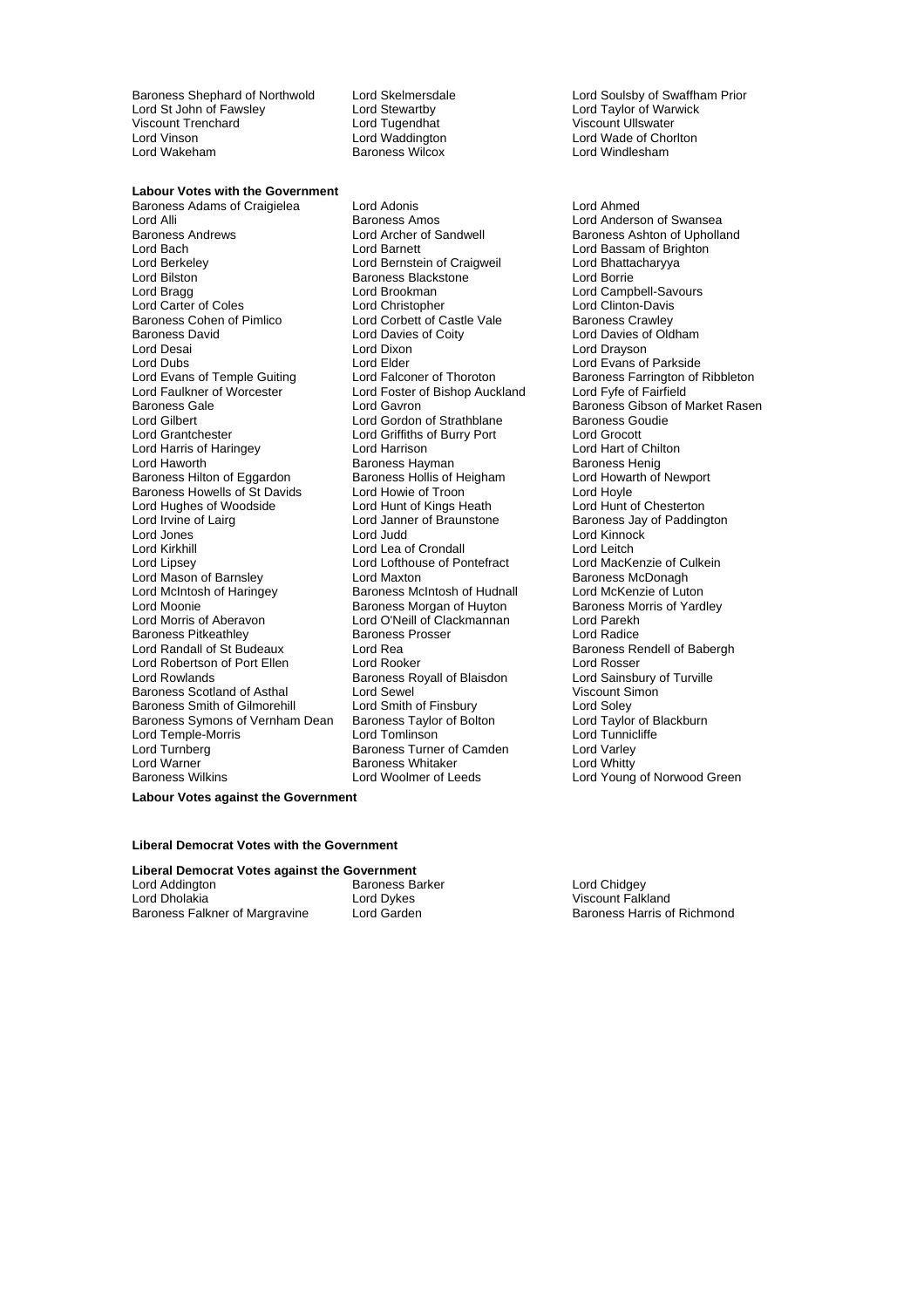Baroness Shephard of Northwold Lord Skelmersdale Lord Soulsby of Swaffham Prior<br>
Lord St John of Fawsley Lord Stewartby Lord Stewartby Lord Taylor of Warwick Lord St John of Fawsley **Lord Stewartby Lord Taylor of Warwick Corporation**<br>
Lord Tugendhat **Lord Tugendhat** Cliscount Ullswater Viscount Trenchard <sup>2</sup><br>
Lord Vinson<br>
Lord Waddington Lord Vinson Lord Waddington Lord Wade of Chorlton

**Labour Votes with the Government** Baroness Adams of Craigielea Lord Adonis Lord Ahmed Lord Alli Baroness Amos Lord Anderson of Swansea Baroness Andrews **Example 2** Lord Archer of Sandwell **Baroness Ashton of Upholland**<br>
Lord Baroness Ashton of Brighton Lord Bach Lord Barnett Lord Barnett Lord Bassam of Brighton<br>
Lord Berkeley Lord Bernstein of Craigweil Lord Bhattacharyya Lord Bilston **Baroness Blackstone Corporation**<br>
Lord Branch Lord Bookman<br>
Lord Brookman<br>
Lord Bookman Lord Carter of Coles Lord Christopher Lord Christopher Lord Clinton-Davis<br>
Baroness Cohen of Pimlico Lord Corbett of Castle Vale Baroness Crawley Baroness David **Example 2** Lord Davies of Coity **Lord Davies of Oldham**<br>
Lord Desai **Lord Dixen**<br>
Lord Dravson Lord Desai Lord Dixon Lord Drayson Lord Dubs<br>
Lord Evans of Temple Guiting Lord Elder Lord Thoroton Lord Evans of Temple Guiting Lord Falconer of Thoroton Lord Baroness Farrington of I Lord Faulkner of Worcester **Find Team** Lord Foster of Bishop Auckland Lord Fyfe of Fairfield<br>Raroness Gale **Raroness** Gibson of N Baroness Gale **Lord Gavron**<br>
Lord Gavron Baroness Gibson of Market Rasen<br>
Lord Gilbert **Baroness Goudie** Lord Gilbert **Lord Gordon of Strathblane** Baroness Goudien Baroness Goudien Lord Green Lord Green Lord Green Lord Green Lord Green Lord Green Lord Green Lord Green Lord Green Lord Green Lord Green Lord Green Lord Green Lor Lord Harris of Haringey **Lord Harrison** Lord Harrison Lord Harrison Lord Hart of Chil<br>Lord Haworth **Lord Hart of Chilton** Baroness Harman Baroness Henig Baroness Hilton of Eggardon Baroness Howells of St Davids<br>
Lord Huahes of Woodside 
Lord Hunt of Charles Lord Hunt of Kings Heath<br>
Lord Hunt of Chesterton Lord Hughes of Woodside Lord Hunt of Kings Heath<br>
Lord Irvine of Lairg<br>
Lord Janner of Braunstone Lord Jones Lord Judd Lord Kinnock Lord Kirkhill Lord Lea of Crondall Lord Leitch Lord Mason of Barnsley<br>Lord McIntosh of Haringey Lord McIntosh of Haringey **Baroness McIntosh of Hudnall** Lord McKenzie of Luton<br>Lord Moonie **Contains Baroness Morgan of Huyton** Baroness Morris of Yardley Lord Moonie **Baroness Morgan of Huyton**<br>
Lord Morris of Aberavon **Baroness Morgan of Clackmannan** Lord Parekh Baroness Pitkeathley<br>Lord Randall of St Budeaux Lord Robertson of Port Ellen Lord Rooker Cord Rosser<br>
Lord Rowlands Cord Rosser Baroness Royall of Blaisdon Lord Sainsbury of Turville Baroness Scotland of Asthal Lord Sewel<br>
Baroness Smith of Gilmorehill Lord Smith of Finsbury Cord Soley<br>
Lord Soley Baroness Smith of Gilmorehill Lord Smith of Finsbury Lord Soley<br>Baroness Symons of Vernham Dean Baroness Taylor of Bolton Lord Taylor of Blackburn Baroness Symons of Vernham Dean Baroness Taylor of Bolton Lord Taylor of B<br>Lord Temple-Morris Lord Tomlinson Lord Tomlinson Lord Tunnicliffe Lord Temple-Morris Lord Turnberg Turner of Camden Cord Varley<br>
Lord Warner Cord Caroness Whitaker<br>
Lord Whitty Lord Warner Baroness Whitaker Lord Whitty

Lord Bernstein of Craigweil Lord Brookman Lord Campbell-Savours<br>
Lord Christopher Lord Clinton-Davis **Baroness Corpett of Castle Vale** Lord Griffiths of Burry Port Lord Grocott<br>
Lord Harrison Lord Hart of Chilton Baroness Hayman<br>
Baroness Hollis of Heigham
Baroness Hollis of Heigham
Baroness Hollis of Heigham
Baroness Hollis of Heigham
Baroness Hollis of Heigham
Baroness Hollis of Heigham
Baroness Hollis of Heigham
Baroness Hollis Lord Janner of Braunstone Baroness Jay of Paddington<br>Lord Judd Lord Kinnock Lord Lofthouse of Pontefract Lord MacKenzie of Culture<br>
Lord Maxton Baroness McDonagh Lord O'Neill of Clackmannan Lord Parekh<br>Baroness Prosser Lord Radice Lord Rea **Budeaux Baroness Rendell of Babergh**<br>
Lord Rooker<br>
Lord Rosser Baroness Royall of Blaisdon

Lord Windlesham

Baroness Farrington of Ribbleton Lord Young of Norwood Green

#### **Labour Votes against the Government**

#### **Liberal Democrat Votes with the Government**

**Liberal Democrat Votes against the Government** Lord Addington **Lord Chidgey**<br>
Lord Chidgey **Baroness Barker Chidgey Lord Chidgey**<br>
Lord Dykes
Barker Chidgey<br>
Uiscount Falk Baroness Falkner of Margravine

Lord Dykes Viscount Falkland<br>Lord Garden **Baroness Harris of Richmond**